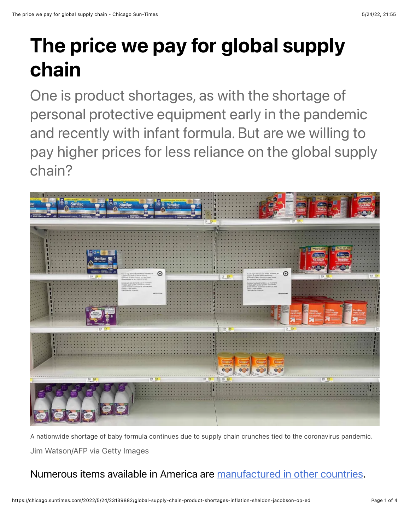## The price we pay for global supply chain

One is product shortages, as with the shortage of personal protective equipment early in the pandemic and recently with infant formula. But are we willing to pay higher prices for less reliance on the global supply chain?



A nationwide shortage of baby formula continues due to supply chain crunches tied to the coronavirus pandemic. Jim Watson/AFP via Getty Images

## Numerous items available in America are [manufactured in other countries](https://blog.cheapism.com/american-products-not-made-in-america-16404/#close).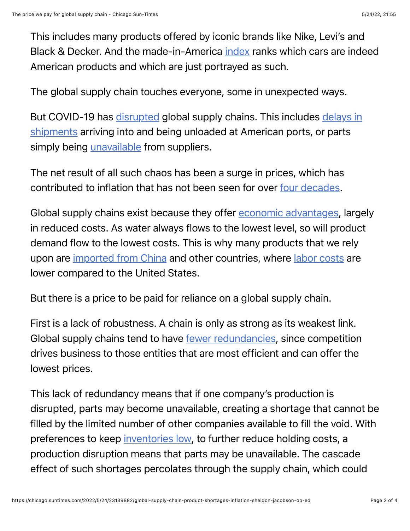This includes many products offered by iconic brands like Nike, Levi's and Black & Decker. And the made-in-America [index](https://www.cars.com/articles/2021-cars-com-american-made-index-which-cars-are-the-most-american-437020/) ranks which cars are indeed American products and which are just portrayed as such.

The global supply chain touches everyone, some in unexpected ways.

[But COVID-19 has](https://www.bloomberg.com/graphics/2021-congestion-at-americas-busiest-port-strains-global-supply-chain/) [disrupte](https://www.whitehouse.gov/cea/written-materials/2021/06/17/why-the-pandemic-has-disrupted-supply-chains/)[d global supply chains. This includes delays in](https://www.bloomberg.com/graphics/2021-congestion-at-americas-busiest-port-strains-global-supply-chain/) shipments arriving into and being unloaded at American ports, or parts simply being [unavailable](https://www.reuters.com/business/autos-transportation/parts-shortages-high-gas-prices-weigh-us-auto-market-2022-04-01/) from suppliers.

The net result of all such chaos has been a surge in prices, which has contributed to inflation that has not been seen for over [four decades.](https://www.cnn.com/2022/04/12/economy/consumer-price-inflation-march/index.html)

Global supply chains exist because they offer **economic advantages**, largely in reduced costs. As water always flows to the lowest level, so will product demand flow to the lowest costs. This is why many products that we rely upon are [imported from China](https://www.investopedia.com/articles/investing/102214/why-china-worlds-factory.asp) and other countries, where [labor costs](https://www.statista.com/statistics/744071/manufacturing-labor-costs-per-hour-china-vietnam-mexico/) are lower compared to the United States.

But there is a price to be paid for reliance on a global supply chain.

First is a lack of robustness. A chain is only as strong as its weakest link. Global supply chains tend to have [fewer redundancies,](https://www.naiop.org/en/Research-and-Publications/Magazine/2021/Winter-2021-2022/Business-Trends/All-Eyes-on-the-Global-Supply-Chain) since competition drives business to those entities that are most efficient and can offer the lowest prices.

This lack of redundancy means that if one company's production is disrupted, parts may become unavailable, creating a shortage that cannot be filled by the limited number of other companies available to fill the void. With preferences to keep [inventories low,](https://www.skuvault.com/blog/how-inventory-reduction-actually-helps-you-make-more-money/) to further reduce holding costs, a production disruption means that parts may be unavailable. The cascade effect of such shortages percolates through the supply chain, which could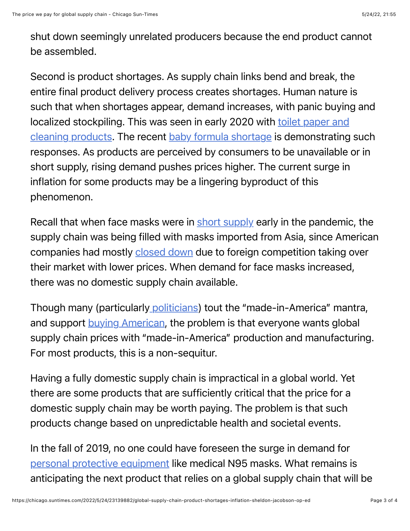shut down seemingly unrelated producers because the end product cannot be assembled.

Second is product shortages. As supply chain links bend and break, the entire final product delivery process creates shortages. Human nature is such that when shortages appear, demand increases, with panic buying and [localized stockpiling. This was seen in early 2020 with toilet paper and](https://www.usatoday.com/picture-gallery/money/2021/04/09/covid-shortages-these-products-were-high-demand-during-pandemic/7127027002/) cleaning products. The recent [baby formula shortage](https://www.npr.org/sections/health-shots/2022/05/16/1099366403/fda-announces-plans-to-ease-the-shortage-of-baby-formula) is demonstrating such responses. As products are perceived by consumers to be unavailable or in short supply, rising demand pushes prices higher. The current surge in inflation for some products may be a lingering byproduct of this phenomenon.

Recall that when face masks were in [short supply](https://www.npr.org/sections/health-shots/2020/03/05/811387424/face-masks-not-enough-are-made-in-america-to-deal-with-coronavirus) early in the pandemic, the supply chain was being filled with masks imported from Asia, since American companies had mostly [closed down](https://www.cnn.com/2021/09/15/success/us-mask-makers-china-competition/index.html) due to foreign competition taking over their market with lower prices. When demand for face masks increased, there was no domestic supply chain available.

Though many (particularly [politicians\)](https://spectrumnews1.com/ca/la-west/politics/2022/03/11/biden-s-made-in-america-agenda-promises-manufacturing-jobs-in-pomona) tout the "made-in-America" mantra, and support [buying American](https://www.consumerreports.org/cro/magazine/2015/05/made-in-america/index.htm), the problem is that everyone wants global supply chain prices with "made-in-America" production and manufacturing. For most products, this is a non-sequitur.

Having a fully domestic supply chain is impractical in a global world. Yet there are some products that are sufficiently critical that the price for a domestic supply chain may be worth paying. The problem is that such products change based on unpredictable health and societal events.

In the fall of 2019, no one could have foreseen the surge in demand for [personal protective equipment](https://www.fiercehealthcare.com/hospitals/hospitals-turn-to-reprocessing-to-shore-up-ppe-stockpile-as-covid-19-cases-rise) like medical N95 masks. What remains is anticipating the next product that relies on a global supply chain that will be